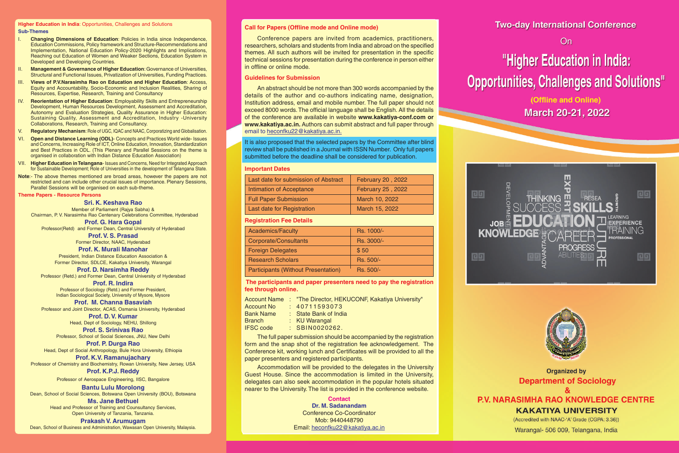## **Higher Education in India**: Opportunities, Challenges and Solutions

#### **Sub-Themes**

- I. **Changing Dimensions of Education**: Policies in India since Independence, Education Commissions, Policy framework and Structure-Recommendations and Implementation, National Education Policy-2020 Highlights and Implications, Reaching out Education of Women and Weaker Sections, Education System in Developed and Developing Countries.
- II. **Management & Governance of Higher Education**: Governance of Universities, Structural and Functional Issues, Privatization of Universities, Funding Practices.
- III. **Views of P.V.Narasimha Rao on Education and Higher Education**: Access, Equity and Accountability, Socio-Economic and Inclusion Realities, Sharing of Resources, Expertise, Research, Training and Consultancy
- IV. **Reorientation of Higher Education**: Employability Skills and Entrepreneurship Development, Human Resources Development, Assessment and Accreditation, Autonomy and Evaluation Strategies, Quality Assurance in Higher Education: Sustaining Quality, Assessment and Accreditation, Industry -University Collaborations, Research, Training and Consultancy.
- V. **Regulatory Mechanism**: Role of UGC, IQAC and NAAC, Corporatizing and Globalisation.
- VI. **Open and Distance Learning (ODL)** Concepts and Practices World wide- Issues and Concerns, Increasing Role of ICT, Online Education, Innovation, Standardization and Best Practices in ODL. (This Plenary and Parallel Sessions on the theme is organised in collaboration with Indian Distance Education Association)
- VII. **Higher Education in Telangana** Issues and Concerns, Need for Integrated Approach for Sustainable Development; Role of Universities in the development of Telangana State.
- **Note**:- The above themes mentioned are broad areas, however the papers are not restricted and can include other crucial issues of importance. Plenary Sessions, Parallel Sessions will be organised on each sub-theme.

#### **Theme Papers - Resource Persons**

## **Sri. K. Keshava Rao**

Member of Parliament (Rajya Sabha) & Chairman, P. V. Narasimha Rao Centenary Celebrations Committee, Hyderabad

**Prof. G. Hara Gopal**

Professor(Retd) and Former Dean, Central University of Hyderabad **Prof. V. S. Prasad**

Former Director, NAAC, Hyderabad

### **Prof. K. Murali Manohar**

President, Indian Distance Education Association & Former Director, SDLCE, Kakatiya University, Warangal

**Prof. D. Narsimha Reddy** Professor (Retd.) and Former Dean, Central University of Hyderabad

**Prof. R. Indira**

Professor of Sociology (Retd.) and Former President, Indian Sociological Society, University of Mysore, Mysore

**Prof. M. Channa Basaviah** Professor and Joint Director, ACAS, Osmania University, Hyderabad

**Prof. D. V. Kumar** Head, Dept of Sociology, NEHU, Shillong **Prof. S. Srinivas Rao**

Professor, School of Social Sciences, JNU, New Delhi

**Prof. P. Durga Rao**

Head, Dept of Social Anthropology, Bule Hora University, Ethiopia

**Prof. K.V. Ramanujachary** Professor of Chemistry and Biochemistry, Rowan University, New Jersey, USA

**Prof. K.P.J. Reddy**

Professor of Aerospace Engineering, IISC, Bangalore

**Bantu Lulu Morolong**

Dean, School of Social Sciences, Botswana Open University (BOU), Botswana **Ms. Jane Bethuel**

Head and Professor of Training and Counsultancy Services, Open University of Tanzania, Tanzania.

**Prakash V. Arumugam** Dean, School of Business and Administration, Wawasan Open University, Malaysia.

## **Call for Papers (Offline mode and Online mode)**

Conference papers are invited from academics, practitioners, researchers, scholars and students from India and abroad on the specified themes. All such authors will be invited for presentation in the specific technical sessions for presentation during the conference in person either in offline or online mode.

## **Guidelines for Submission**

An abstract should be not more than 300 words accompanied by the details of the author and co-authors indicating name, designation, Institution address, email and mobile number. The full paper should not exceed 8000 words. The official language shall be English. All the details of the conference are available in website **www.kakatiya-conf.com or www.kakatiya.ac.in.** Authors can submit abstract and full paper through email to heconfku22@kakatiya.ac.in.

It is also proposed that the selected papers by the Committee after blind review shall be published in a Journal with ISSN Number. Only full papers submitted before the deadline shall be considered for publication.

## **Important Dates**

| Last date for submission of Abstract | February 20, 2022        |
|--------------------------------------|--------------------------|
| Intimation of Acceptance             | <b>February 25, 2022</b> |
| <b>Full Paper Submission</b>         | March 10, 2022           |
| Last date for Registration           | March 15, 2022           |

## **Registration Fee Details**

| <b>Academics/Faculty</b>                   | Rs. 1000/- |
|--------------------------------------------|------------|
| <b>Corporate/Consultants</b>               | Rs. 3000/- |
| <b>Foreign Delegates</b>                   | \$50       |
| <b>Research Scholars</b>                   | Rs. 500/-  |
| <b>Participants (Without Presentation)</b> | Rs. 500/-  |

**The participants and paper presenters need to pay the registration fee through online.**

|                  | Account Name : "The Director, HEKUCONF, Kakatiya University" |
|------------------|--------------------------------------------------------------|
| Account No       | : 40711593073                                                |
| <b>Bank Name</b> | : State Bank of India                                        |
| <b>Branch</b>    | : KU Warangal                                                |

IFSC code : SBIN0020262.

The full paper submission should be accompanied by the registration form and the snap shot of the registration fee acknowledgement. The Conference kit, working lunch and Certificates will be provided to all the paper presenters and registered participants.

Accommodation will be provided to the delegates in the University Guest House. Since the accommodation is limited in the University, delegates can also seek accommodation in the popular hotels situated nearer to the University. The list is provided in the conference website.

> **Contact Dr. M. Sadanandam** Conference Co-Coordinator Mob: 9440448790 Email: heconfku22@kakatiya.ac.in

## **Two-day International Conference**

 $On$ 

# "Higher Education in India: **Opportunities, Challenges and Solutions"**

(Offline and Online) March 20-21, 2022





**Organized by Department of Sociology** 

&

**P.V. NARASIMHA RAO KNOWLEDGE CENTRE** 

## **KAKATIYA UNIVERSITY**

(Accredited with NAAC-'A' Grade (CGPA: 3.36))

Warangal- 506 009, Telangana, India